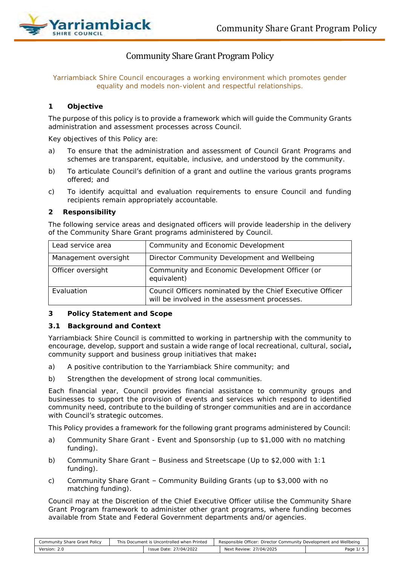

# Community Share Grant Program Policy

*Yarriambiack Shire Council encourages a working environment which promotes gender equality and models non-violent and respectful relationships.*

#### **1 Objective**

The purpose of this policy is to provide a framework which will guide the Community Grants administration and assessment processes across Council.

Key objectives of this Policy are:

- a) To ensure that the administration and assessment of Council Grant Programs and schemes are transparent, equitable, inclusive, and understood by the community.
- b) To articulate Council's definition of a grant and outline the various grants programs offered; and
- c) To identify acquittal and evaluation requirements to ensure Council and funding recipients remain appropriately accountable.

#### **2 Responsibility**

The following service areas and designated officers will provide leadership in the delivery of the Community Share Grant programs administered by Council.

| Lead service area    | Community and Economic Development                                                                         |
|----------------------|------------------------------------------------------------------------------------------------------------|
| Management oversight | Director Community Development and Wellbeing                                                               |
| Officer oversight    | Community and Economic Development Officer (or<br>equivalent)                                              |
| Evaluation           | Council Officers nominated by the Chief Executive Officer<br>will be involved in the assessment processes. |

#### **3 Policy Statement and Scope**

#### *3.1 Background and Context*

Yarriambiack Shire Council is committed to working in partnership with the community to encourage, develop, support and sustain a wide range of local recreational, cultural, social**,** community support and business group initiatives that make**:**

- a) A positive contribution to the Yarriambiack Shire community; and
- b) Strengthen the development of strong local communities.

Each financial year, Council provides financial assistance to community groups and businesses to support the provision of events and services which respond to identified community need, contribute to the building of stronger communities and are in accordance with Council's strategic outcomes.

This Policy provides a framework for the following grant programs administered by Council:

- a) Community Share Grant Event and Sponsorship (up to \$1,000 with no matching funding).
- b) Community Share Grant Business and Streetscape (Up to \$2,000 with 1:1 funding).
- c) Community Share Grant Community Building Grants (up to \$3,000 with no matching funding).

Council may at the Discretion of the Chief Executive Officer utilise the Community Share Grant Program framework to administer other grant programs, where funding becomes available from State and Federal Government departments and/or agencies.

| Community Share Grant Policy | This Document is Uncontrolled when Printed |                        | Responsible Officer: Director Community Development and Wellbeing |          |
|------------------------------|--------------------------------------------|------------------------|-------------------------------------------------------------------|----------|
| Version: 2.0                 |                                            | Issue Date: 27/04/2022 | Next Review: 27/04/2025                                           | Page 1/5 |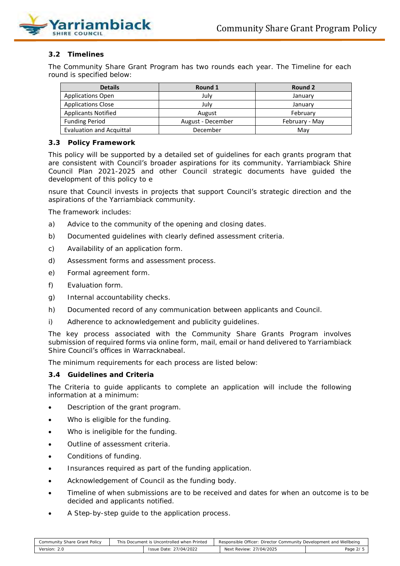

# *3.2 Timelines*

The Community Share Grant Program has two rounds each year. The Timeline for each round is specified below:

| <b>Details</b>                  | Round 1           | Round 2        |  |
|---------------------------------|-------------------|----------------|--|
| <b>Applications Open</b>        | July              | January        |  |
| <b>Applications Close</b>       | July              | January        |  |
| <b>Applicants Notified</b>      | August            | February       |  |
| <b>Funding Period</b>           | August - December | February - May |  |
| <b>Evaluation and Acquittal</b> | December          | Mav            |  |

#### *3.3 Policy Framework*

This policy will be supported by a detailed set of guidelines for each grants program that are consistent with Council's broader aspirations for its community. Yarriambiack Shire Council Plan 2021-2025 and other Council strategic documents have guided the development of this policy to e

nsure that Council invests in projects that support Council's strategic direction and the aspirations of the Yarriambiack community.

The framework includes:

- a) Advice to the community of the opening and closing dates.
- b) Documented guidelines with clearly defined assessment criteria.
- c) Availability of an application form.
- d) Assessment forms and assessment process.
- e) Formal agreement form.
- f) Evaluation form.
- g) Internal accountability checks.
- h) Documented record of any communication between applicants and Council.
- i) Adherence to acknowledgement and publicity guidelines.

The key process associated with the Community Share Grants Program involves submission of required forms via online form, mail, email or hand delivered to Yarriambiack Shire Council's offices in Warracknabeal.

The minimum requirements for each process are listed below:

#### *3.4 Guidelines and Criteria*

The Criteria to guide applicants to complete an application will include the following information at a minimum:

- Description of the grant program.
- Who is eligible for the funding.
- Who is ineligible for the funding.
- Outline of assessment criteria.
- Conditions of funding.
- Insurances required as part of the funding application.
- Acknowledgement of Council as the funding body.
- Timeline of when submissions are to be received and dates for when an outcome is to be decided and applicants notified.
- A Step-by-step quide to the application process.

| Community Share Grant Policy | This Document is Uncontrolled when Printed |                        | Responsible Officer: Director Community Development and Wellbeing |           |  |
|------------------------------|--------------------------------------------|------------------------|-------------------------------------------------------------------|-----------|--|
| Version: 2.0                 |                                            | Issue Date: 27/04/2022 | Next Review: 27/04/2025                                           | Page 2/ 5 |  |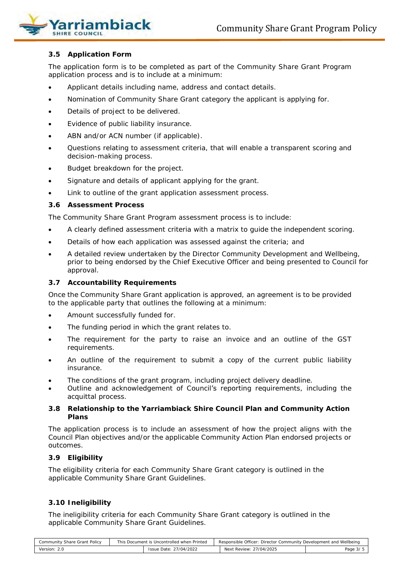

# *3.5 Application Form*

The application form is to be completed as part of the Community Share Grant Program application process and is to include at a minimum:

- Applicant details including name, address and contact details.
- Nomination of Community Share Grant category the applicant is applying for.
- Details of project to be delivered.
- Evidence of public liability insurance.
- ABN and/or ACN number (if applicable).
- Questions relating to assessment criteria, that will enable a transparent scoring and decision-making process.
- Budget breakdown for the project.
- Signature and details of applicant applying for the grant.
- Link to outline of the grant application assessment process.

# *3.6 Assessment Process*

The Community Share Grant Program assessment process is to include:

- A clearly defined assessment criteria with a matrix to guide the independent scoring.
- Details of how each application was assessed against the criteria; and
- A detailed review undertaken by the Director Community Development and Wellbeing, prior to being endorsed by the Chief Executive Officer and being presented to Council for approval.

# *3.7 Accountability Requirements*

Once the Community Share Grant application is approved, an agreement is to be provided to the applicable party that outlines the following at a minimum:

- Amount successfully funded for.
- The funding period in which the grant relates to.
- The requirement for the party to raise an invoice and an outline of the GST requirements.
- An outline of the requirement to submit a copy of the current public liability insurance.
- The conditions of the grant program, including project delivery deadline.
- Outline and acknowledgement of Council's reporting requirements, including the acquittal process.

# *3.8 Relationship to the Yarriambiack Shire Council Plan and Community Action Plans*

The application process is to include an assessment of how the project aligns with the Council Plan objectives and/or the applicable Community Action Plan endorsed projects or outcomes.

#### *3.9 Eligibility*

The eligibility criteria for each Community Share Grant category is outlined in the applicable Community Share Grant Guidelines.

#### *3.10 Ineligibility*

The ineligibility criteria for each Community Share Grant category is outlined in the applicable Community Share Grant Guidelines.

| Community Share Grant Policy | This Document is Uncontrolled when Printed |                        | Responsible Officer: Director Community Development and Wellbeing |          |  |
|------------------------------|--------------------------------------------|------------------------|-------------------------------------------------------------------|----------|--|
| Version: 2.0                 |                                            | Issue Date: 27/04/2022 | Next Review: 27/04/2025                                           | Page 3/5 |  |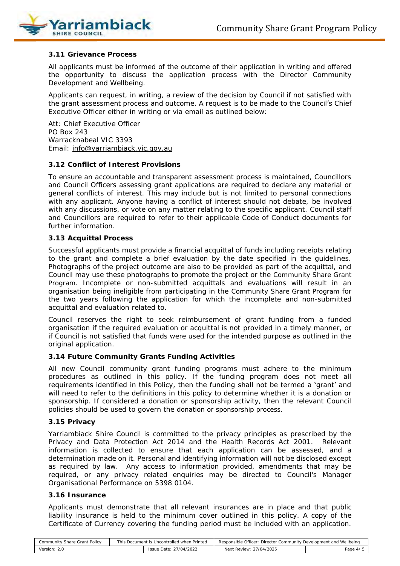

# *3.11 Grievance Process*

All applicants must be informed of the outcome of their application in writing and offered the opportunity to discuss the application process with the Director Community Development and Wellbeing.

Applicants can request, in writing, a review of the decision by Council if not satisfied with the grant assessment process and outcome. A request is to be made to the Council's Chief Executive Officer either in writing or via email as outlined below:

Att: Chief Executive Officer PO Box 243 Warracknabeal VIC 3393 Email: [info@yarriambiack.vic.gov.au](mailto:info@yarriambiack.vic.gov.au)

#### *3.12 Conflict of Interest Provisions*

To ensure an accountable and transparent assessment process is maintained, Councillors and Council Officers assessing grant applications are required to declare any material or general conflicts of interest. This may include but is not limited to personal connections with any applicant. Anyone having a conflict of interest should not debate, be involved with any discussions, or vote on any matter relating to the specific applicant. Council staff and Councillors are required to refer to their applicable Code of Conduct documents for further information.

#### *3.13 Acquittal Process*

Successful applicants must provide a financial acquittal of funds including receipts relating to the grant and complete a brief evaluation by the date specified in the guidelines. Photographs of the project outcome are also to be provided as part of the acquittal, and Council may use these photographs to promote the project or the Community Share Grant Program. Incomplete or non-submitted acquittals and evaluations will result in an organisation being ineligible from participating in the Community Share Grant Program for the two years following the application for which the incomplete and non-submitted acquittal and evaluation related to.

Council reserves the right to seek reimbursement of grant funding from a funded organisation if the required evaluation or acquittal is not provided in a timely manner, or if Council is not satisfied that funds were used for the intended purpose as outlined in the original application.

#### *3.14 Future Community Grants Funding Activities*

All new Council community grant funding programs must adhere to the minimum procedures as outlined in this policy. If the funding program does not meet all requirements identified in this Policy, then the funding shall not be termed a 'grant' and will need to refer to the definitions in this policy to determine whether it is a donation or sponsorship. If considered a donation or sponsorship activity, then the relevant Council policies should be used to govern the donation or sponsorship process.

#### *3.15 Privacy*

Yarriambiack Shire Council is committed to the privacy principles as prescribed by the *Privacy and Data Protection Act 2014* and the *Health Records Act 2001*. Relevant information is collected to ensure that each application can be assessed, and a determination made on it. Personal and identifying information will not be disclosed except as required by law. Any access to information provided, amendments that may be required, or any privacy related enquiries may be directed to Council's Manager Organisational Performance on 5398 0104.

#### *3.16 Insurance*

Applicants must demonstrate that all relevant insurances are in place and that public liability insurance is held to the minimum cover outlined in this policy. A copy of the Certificate of Currency covering the funding period must be included with an application.

| Community Share Grant Policy | This Document is Uncontrolled when Printed |                        | Responsible Officer: Director Community Development and Wellbeing |          |  |
|------------------------------|--------------------------------------------|------------------------|-------------------------------------------------------------------|----------|--|
| Version: 2.0                 |                                            | Issue Date: 27/04/2022 | Next Review: 27/04/2025                                           | Page 4/5 |  |